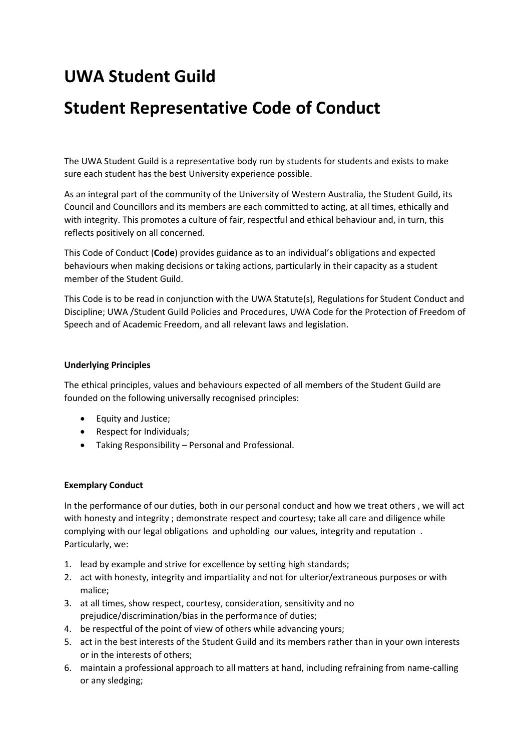## **UWA Student Guild**

## **Student Representative Code of Conduct**

The UWA Student Guild is a representative body run by students for students and exists to make sure each student has the best University experience possible.

As an integral part of the community of the University of Western Australia, the Student Guild, its Council and Councillors and its members are each committed to acting, at all times, ethically and with integrity. This promotes a culture of fair, respectful and ethical behaviour and, in turn, this reflects positively on all concerned.

This Code of Conduct (**Code**) provides guidance as to an individual's obligations and expected behaviours when making decisions or taking actions, particularly in their capacity as a student member of the Student Guild.

This Code is to be read in conjunction with the UWA Statute(s), Regulations for Student Conduct and Discipline; UWA /Student Guild Policies and Procedures, UWA Code for the Protection of Freedom of Speech and of Academic Freedom, and all relevant laws and legislation.

## **Underlying Principles**

The ethical principles, values and behaviours expected of all members of the Student Guild are founded on the following universally recognised principles:

- Equity and Justice;
- Respect for Individuals;
- Taking Responsibility Personal and Professional.

## **Exemplary Conduct**

In the performance of our duties, both in our personal conduct and how we treat others , we will act with honesty and integrity ; demonstrate respect and courtesy; take all care and diligence while complying with our legal obligations and upholding our values, integrity and reputation . Particularly, we:

- 1. lead by example and strive for excellence by setting high standards;
- 2. act with honesty, integrity and impartiality and not for ulterior/extraneous purposes or with malice;
- 3. at all times, show respect, courtesy, consideration, sensitivity and no prejudice/discrimination/bias in the performance of duties;
- 4. be respectful of the point of view of others while advancing yours;
- 5. act in the best interests of the Student Guild and its members rather than in your own interests or in the interests of others;
- 6. maintain a professional approach to all matters at hand, including refraining from name-calling or any sledging;